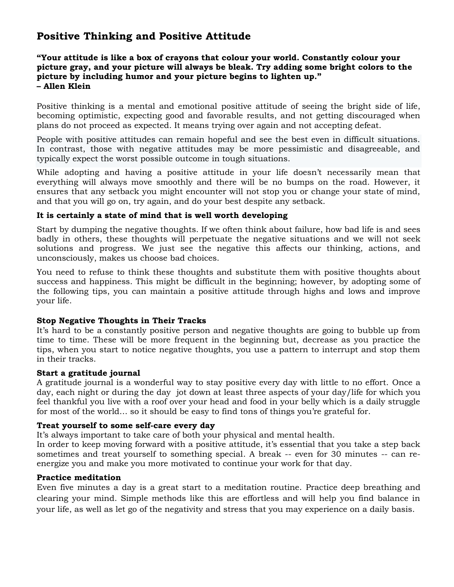# **Positive Thinking and Positive Attitude**

# **"Your attitude is like a box of crayons that colour your world. Constantly colour your picture gray, and your picture will always be bleak. Try adding some bright colors to the picture by including humor and your picture begins to lighten up." – Allen Klein**

Positive thinking is a mental and emotional positive attitude of seeing the bright side of life, becoming optimistic, expecting good and favorable results, and not getting discouraged when plans do not proceed as expected. It means trying over again and not accepting defeat.

People with positive attitudes can remain hopeful and see the best even in difficult situations. In contrast, those with negative attitudes may be more pessimistic and disagreeable, and typically expect the worst possible outcome in tough situations.

While adopting and having a positive attitude in your life doesn't necessarily mean that everything will always move smoothly and there will be no bumps on the road. However, it ensures that any setback you might encounter will not stop you or change your state of mind, and that you will go on, try again, and do your best despite any setback.

# **It is certainly a state of mind that is well worth developing**

Start by dumping the negative thoughts. If we often think about failure, how bad life is and sees badly in others, these thoughts will perpetuate the negative situations and we will not seek solutions and progress. We just see the negative this affects our thinking, actions, and unconsciously, makes us choose bad choices.

You need to refuse to think these thoughts and substitute them with positive thoughts about success and happiness. This might be difficult in the beginning; however, by adopting some of the following tips, you can maintain a positive attitude through highs and lows and improve your life.

## **Stop Negative Thoughts in Their Tracks**

It's hard to be a constantly positive person and negative thoughts are going to bubble up from time to time. These will be more frequent in the beginning but, decrease as you practice the tips, when you start to notice negative thoughts, you use a pattern to interrupt and stop them in their tracks.

## **Start a gratitude journal**

A gratitude journal is a wonderful way to stay positive every day with little to no effort. Once a day, each night or during the day jot down at least three aspects of your day/life for which you feel thankful you live with a roof over your head and food in your belly which is a daily struggle for most of the world… so it should be easy to find tons of things you're grateful for.

## **Treat yourself to some self-care every day**

It's always important to take care of both your physical and mental health.

In order to keep moving forward with a positive attitude, it's essential that you take a step back sometimes and treat yourself to something special. A break -- even for 30 minutes -- can reenergize you and make you more motivated to continue your work for that day.

## **Practice meditation**

Even five minutes a day is a great start to a meditation routine. Practice deep breathing and clearing your mind. Simple methods like this are effortless and will help you find balance in your life, as well as let go of the negativity and stress that you may experience on a daily basis.